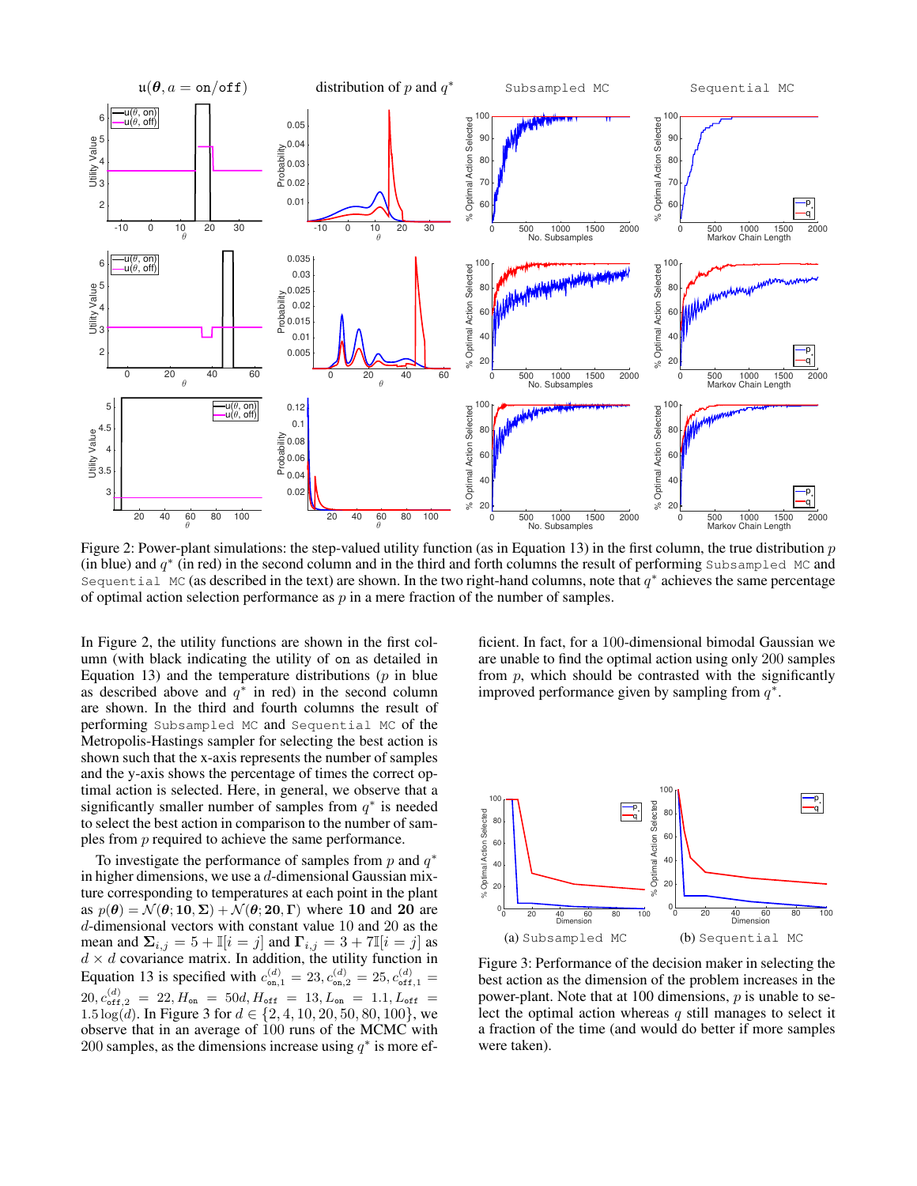

Figure 2: Power-plant simulations: the step-valued utility function (as in Equation 13) in the first column, the true distribution  $p$ (in blue) and  $q^*$  (in red) in the second column and in the third and forth columns the result of performing Subsampled MC and Sequential MC (as described in the text) are shown. In the two right-hand columns, note that  $q^*$  achieves the same percentage of optimal action selection performance as  $p$  in a mere fraction of the number of samples.

In Figure 2, the utility functions are shown in the first column (with black indicating the utility of on as detailed in Equation 13) and the temperature distributions  $(p \text{ in blue})$ as described above and  $q^*$  in red) in the second column are shown. In the third and fourth columns the result of performing Subsampled MC and Sequential MC of the Metropolis-Hastings sampler for selecting the best action is shown such that the x-axis represents the number of samples and the y-axis shows the percentage of times the correct optimal action is selected. Here, in general, we observe that a significantly smaller number of samples from  $q^*$  is needed to select the best action in comparison to the number of samples from p required to achieve the same performance.

To investigate the performance of samples from  $p$  and  $q^*$ in higher dimensions, we use a  $d$ -dimensional Gaussian mixture corresponding to temperatures at each point in the plant as  $p(\theta) = \mathcal{N}(\theta; 10, \Sigma) + \mathcal{N}(\theta; 20, \Gamma)$  where 10 and 20 are d-dimensional vectors with constant value 10 and 20 as the mean and  $\Sigma_{i,j} = 5 + \mathbb{I}[i = j]$  and  $\Gamma_{i,j} = 3 + 7\mathbb{I}[i = j]$  as  $d \times d$  covariance matrix. In addition, the utility function in Equation 13 is specified with  $c_{\text{on},1}^{(d)} = 23, c_{\text{on},2}^{(d)} = 25, c_{\text{off},1}^{(d)} = 1$  $20, c_{\text{off},2}^{(d)} = 22, H_{\text{on}} = 50d, H_{\text{off}} = 13, L_{\text{on}} = 1.1, L_{\text{off}} =$ 1.5  $\log(d)$ . In Figure 3 for  $d \in \{2, 4, 10, 20, 50, 80, 100\}$ , we observe that in an average of 100 runs of the MCMC with 200 samples, as the dimensions increase using  $q^*$  is more ef-

ficient. In fact, for a 100-dimensional bimodal Gaussian we are unable to find the optimal action using only 200 samples from  $p$ , which should be contrasted with the significantly improved performance given by sampling from  $q^*$ .



Figure 3: Performance of the decision maker in selecting the best action as the dimension of the problem increases in the power-plant. Note that at 100 dimensions,  $p$  is unable to select the optimal action whereas  $q$  still manages to select it a fraction of the time (and would do better if more samples were taken).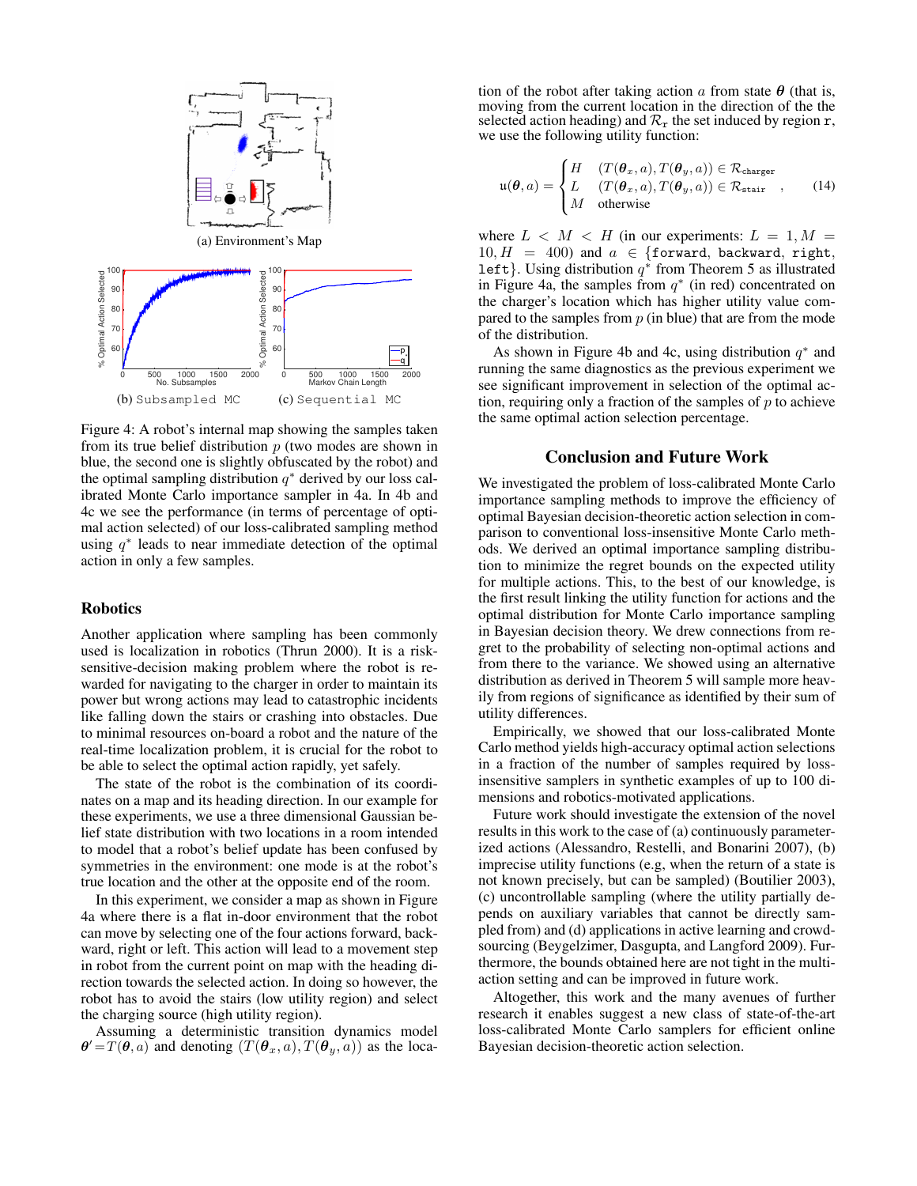

Figure 4: A robot's internal map showing the samples taken from its true belief distribution  $p$  (two modes are shown in blue, the second one is slightly obfuscated by the robot) and the optimal sampling distribution  $q^*$  derived by our loss calibrated Monte Carlo importance sampler in 4a. In 4b and 4c we see the performance (in terms of percentage of optimal action selected) of our loss-calibrated sampling method using  $q^*$  leads to near immediate detection of the optimal action in only a few samples.

## **Robotics**

Another application where sampling has been commonly used is localization in robotics (Thrun 2000). It is a risksensitive-decision making problem where the robot is rewarded for navigating to the charger in order to maintain its power but wrong actions may lead to catastrophic incidents like falling down the stairs or crashing into obstacles. Due to minimal resources on-board a robot and the nature of the real-time localization problem, it is crucial for the robot to be able to select the optimal action rapidly, yet safely.

The state of the robot is the combination of its coordinates on a map and its heading direction. In our example for these experiments, we use a three dimensional Gaussian belief state distribution with two locations in a room intended to model that a robot's belief update has been confused by symmetries in the environment: one mode is at the robot's true location and the other at the opposite end of the room.

In this experiment, we consider a map as shown in Figure 4a where there is a flat in-door environment that the robot can move by selecting one of the four actions forward, backward, right or left. This action will lead to a movement step in robot from the current point on map with the heading direction towards the selected action. In doing so however, the robot has to avoid the stairs (low utility region) and select the charging source (high utility region).

Assuming a deterministic transition dynamics model  $\theta' = T(\theta, a)$  and denoting  $(T(\theta_x, a), T(\theta_y, a))$  as the loca-

tion of the robot after taking action a from state  $\theta$  (that is, moving from the current location in the direction of the the selected action heading) and  $\mathcal{R}_{r}$  the set induced by region  $r$ , we use the following utility function:

$$
\mathfrak{u}(\boldsymbol{\theta},a) = \begin{cases} H & (T(\boldsymbol{\theta}_x,a), T(\boldsymbol{\theta}_y,a)) \in \mathcal{R}_{\text{charge}} \\ L & (T(\boldsymbol{\theta}_x,a), T(\boldsymbol{\theta}_y,a)) \in \mathcal{R}_{\text{stair}} \\ M & \text{otherwise} \end{cases}
$$
 (14)

where  $L < M < H$  (in our experiments:  $L = 1, M =$  $10, H = 400$  and  $a \in \{\text{forward}, \text{backward}, \text{right}, \text{}$ left}. Using distribution  $q^*$  from Theorem 5 as illustrated in Figure 4a, the samples from  $q^*$  (in red) concentrated on the charger's location which has higher utility value compared to the samples from  $p$  (in blue) that are from the mode of the distribution.

As shown in Figure 4b and 4c, using distribution  $q^*$  and running the same diagnostics as the previous experiment we see significant improvement in selection of the optimal action, requiring only a fraction of the samples of  $p$  to achieve the same optimal action selection percentage.

## Conclusion and Future Work

We investigated the problem of loss-calibrated Monte Carlo importance sampling methods to improve the efficiency of optimal Bayesian decision-theoretic action selection in comparison to conventional loss-insensitive Monte Carlo methods. We derived an optimal importance sampling distribution to minimize the regret bounds on the expected utility for multiple actions. This, to the best of our knowledge, is the first result linking the utility function for actions and the optimal distribution for Monte Carlo importance sampling in Bayesian decision theory. We drew connections from regret to the probability of selecting non-optimal actions and from there to the variance. We showed using an alternative distribution as derived in Theorem 5 will sample more heavily from regions of significance as identified by their sum of utility differences.

Empirically, we showed that our loss-calibrated Monte Carlo method yields high-accuracy optimal action selections in a fraction of the number of samples required by lossinsensitive samplers in synthetic examples of up to 100 dimensions and robotics-motivated applications.

Future work should investigate the extension of the novel results in this work to the case of (a) continuously parameterized actions (Alessandro, Restelli, and Bonarini 2007), (b) imprecise utility functions (e.g, when the return of a state is not known precisely, but can be sampled) (Boutilier 2003), (c) uncontrollable sampling (where the utility partially depends on auxiliary variables that cannot be directly sampled from) and (d) applications in active learning and crowdsourcing (Beygelzimer, Dasgupta, and Langford 2009). Furthermore, the bounds obtained here are not tight in the multiaction setting and can be improved in future work.

Altogether, this work and the many avenues of further research it enables suggest a new class of state-of-the-art loss-calibrated Monte Carlo samplers for efficient online Bayesian decision-theoretic action selection.